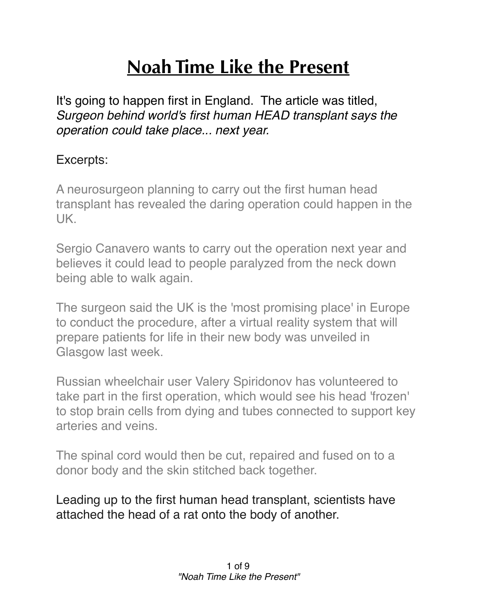## **Noah Time Like the Present**

It's going to happen first in England. The article was titled, *Surgeon behind world's first human HEAD transplant says the operation could take place... next year.*

## Excerpts:

A neurosurgeon planning to carry out the first human head transplant has revealed the daring operation could happen in the UK.

Sergio Canavero wants to carry out the operation next year and believes it could lead to people paralyzed from the neck down being able to walk again.

The surgeon said the UK is the 'most promising place' in Europe to conduct the procedure, after a virtual reality system that will prepare patients for life in their new body was unveiled in Glasgow last week.

Russian wheelchair user Valery Spiridonov has volunteered to take part in the first operation, which would see his head 'frozen' to stop brain cells from dying and tubes connected to support key arteries and veins.

The spinal cord would then be cut, repaired and fused on to a donor body and the skin stitched back together.

Leading up to the first human head transplant, scientists have attached the head of a rat onto the body of another.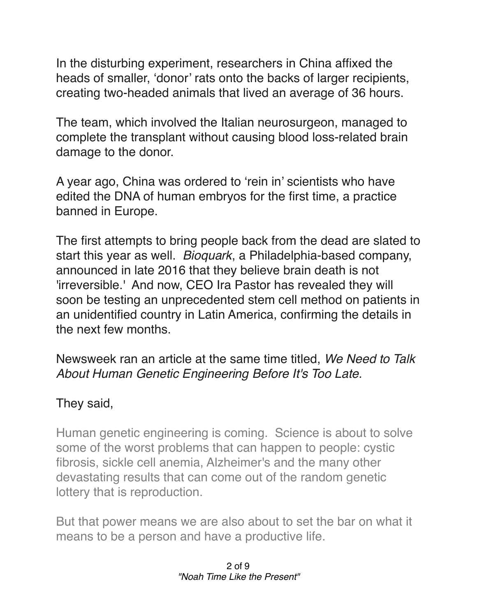In the disturbing experiment, researchers in China affixed the heads of smaller, 'donor' rats onto the backs of larger recipients, creating two-headed animals that lived an average of 36 hours.

The team, which involved the Italian neurosurgeon, managed to complete the transplant without causing blood loss-related brain damage to the donor.

A year ago, China was ordered to 'rein in' scientists who have edited the DNA of human embryos for the first time, a practice banned in Europe.

The first attempts to bring people back from the dead are slated to start this year as well. *Bioquark*, a Philadelphia-based company, announced in late 2016 that they believe brain death is not 'irreversible.' And now, CEO Ira Pastor has revealed they will soon be testing an unprecedented stem cell method on patients in an unidentified country in Latin America, confirming the details in the next few months.

Newsweek ran an article at the same time titled, *We Need to Talk About Human Genetic Engineering Before It's Too Late.*

## They said,

Human genetic engineering is coming. Science is about to solve some of the worst problems that can happen to people: cystic fibrosis, sickle cell anemia, Alzheimer's and the many other devastating results that can come out of the random genetic lottery that is reproduction.

But that power means we are also about to set the bar on what it means to be a person and have a productive life.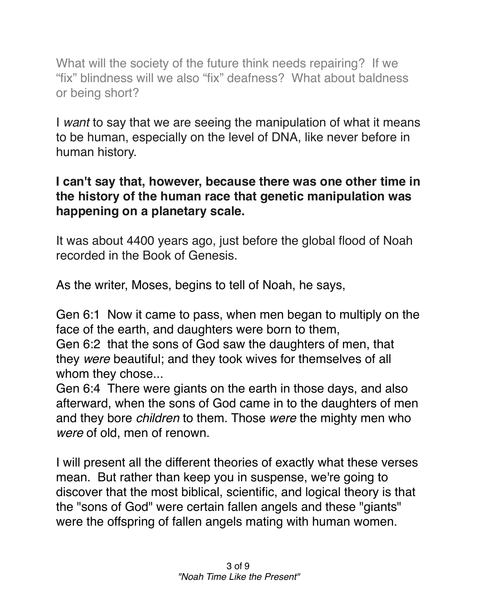What will the society of the future think needs repairing? If we "fix" blindness will we also "fix" deafness? What about baldness or being short?

I *want* to say that we are seeing the manipulation of what it means to be human, especially on the level of DNA, like never before in human history.

## **I can't say that, however, because there was one other time in the history of the human race that genetic manipulation was happening on a planetary scale.**

It was about 4400 years ago, just before the global flood of Noah recorded in the Book of Genesis.

As the writer, Moses, begins to tell of Noah, he says,

[Gen 6:1](verseid:1.6.1) Now it came to pass, when men began to multiply on the face of the earth, and daughters were born to them,

[Gen 6:2](verseid:1.6.2) that the sons of God saw the daughters of men, that they *were* beautiful; and they took wives for themselves of all whom they chose...

Gen 6:4 There were giants on the earth in those days, and also afterward, when the sons of God came in to the daughters of men and they bore *children* to them. Those *were* the mighty men who *were* of old, men of renown.

I will present all the different theories of exactly what these verses mean. But rather than keep you in suspense, we're going to discover that the most biblical, scientific, and logical theory is that the "sons of God" were certain fallen angels and these "giants" were the offspring of fallen angels mating with human women.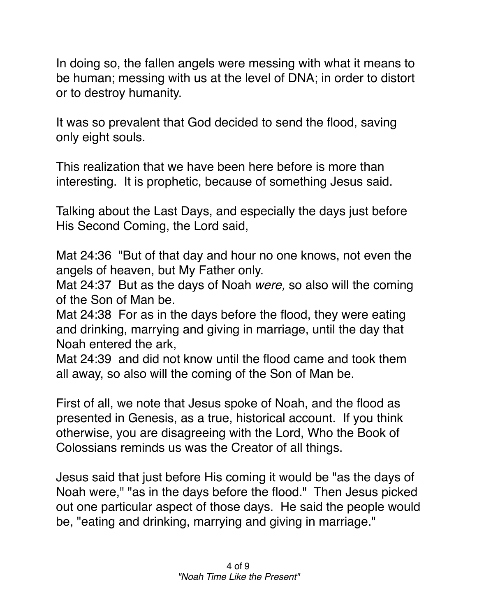In doing so, the fallen angels were messing with what it means to be human; messing with us at the level of DNA; in order to distort or to destroy humanity.

It was so prevalent that God decided to send the flood, saving only eight souls.

This realization that we have been here before is more than interesting. It is prophetic, because of something Jesus said.

Talking about the Last Days, and especially the days just before His Second Coming, the Lord said,

[Mat 24:36](verseid:40.24.36) "But of that day and hour no one knows, not even the angels of heaven, but My Father only.

[Mat 24:37](verseid:40.24.37) But as the days of Noah *were,* so also will the coming of the Son of Man be.

[Mat 24:38](verseid:40.24.38) For as in the days before the flood, they were eating and drinking, marrying and giving in marriage, until the day that Noah entered the ark,

[Mat 24:39](verseid:40.24.39) and did not know until the flood came and took them all away, so also will the coming of the Son of Man be.

First of all, we note that Jesus spoke of Noah, and the flood as presented in Genesis, as a true, historical account. If you think otherwise, you are disagreeing with the Lord, Who the Book of Colossians reminds us was the Creator of all things.

Jesus said that just before His coming it would be "as the days of Noah were," "as in the days before the flood." Then Jesus picked out one particular aspect of those days. He said the people would be, "eating and drinking, marrying and giving in marriage."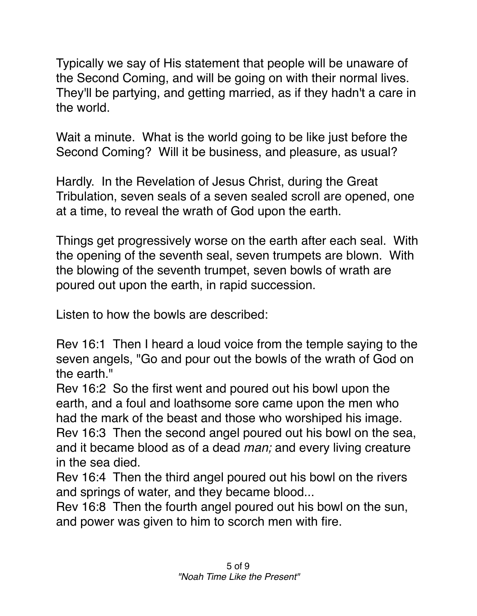Typically we say of His statement that people will be unaware of the Second Coming, and will be going on with their normal lives. They'll be partying, and getting married, as if they hadn't a care in the world.

Wait a minute. What is the world going to be like just before the Second Coming? Will it be business, and pleasure, as usual?

Hardly. In the Revelation of Jesus Christ, during the Great Tribulation, seven seals of a seven sealed scroll are opened, one at a time, to reveal the wrath of God upon the earth.

Things get progressively worse on the earth after each seal. With the opening of the seventh seal, seven trumpets are blown. With the blowing of the seventh trumpet, seven bowls of wrath are poured out upon the earth, in rapid succession.

Listen to how the bowls are described:

Rev 16:1 Then I heard a loud voice from the temple saying to the seven angels, "Go and pour out the bowls of the wrath of God on the earth."

Rev 16:2 So the first went and poured out his bowl upon the earth, and a foul and loathsome sore came upon the men who had the mark of the beast and those who worshiped his image. Rev 16:3 Then the second angel poured out his bowl on the sea, and it became blood as of a dead *man;* and every living creature in the sea died.

Rev 16:4 Then the third angel poured out his bowl on the rivers and springs of water, and they became blood...

Rev 16:8 Then the fourth angel poured out his bowl on the sun, and power was given to him to scorch men with fire.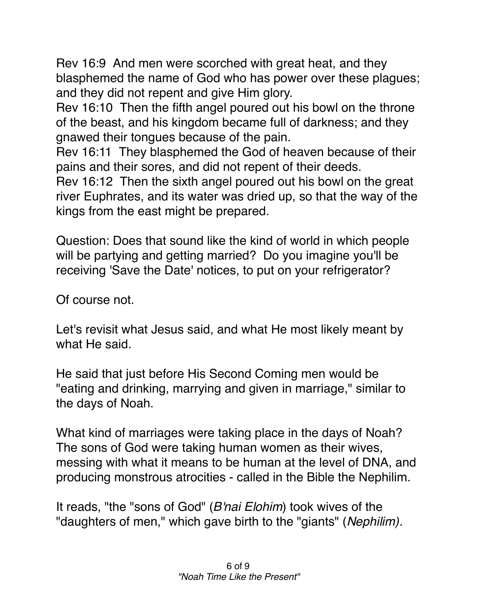Rev 16:9 And men were scorched with great heat, and they blasphemed the name of God who has power over these plagues; and they did not repent and give Him glory.

Rev 16:10 Then the fifth angel poured out his bowl on the throne of the beast, and his kingdom became full of darkness; and they gnawed their tongues because of the pain.

Rev 16:11 They blasphemed the God of heaven because of their pains and their sores, and did not repent of their deeds.

Rev 16:12 Then the sixth angel poured out his bowl on the great river Euphrates, and its water was dried up, so that the way of the kings from the east might be prepared.

Question: Does that sound like the kind of world in which people will be partying and getting married? Do you imagine you'll be receiving 'Save the Date' notices, to put on your refrigerator?

Of course not.

Let's revisit what Jesus said, and what He most likely meant by what He said.

He said that just before His Second Coming men would be "eating and drinking, marrying and given in marriage," similar to the days of Noah.

What kind of marriages were taking place in the days of Noah? The sons of God were taking human women as their wives, messing with what it means to be human at the level of DNA, and producing monstrous atrocities - called in the Bible the Nephilim.

It reads, "the "sons of God" (*B'nai Elohim*) took wives of the "daughters of men," which gave birth to the "giants" (*Nephilim).*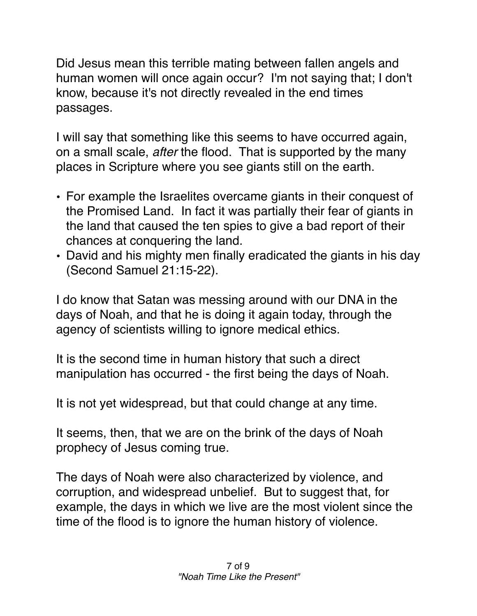Did Jesus mean this terrible mating between fallen angels and human women will once again occur? I'm not saying that; I don't know, because it's not directly revealed in the end times passages.

I will say that something like this seems to have occurred again, on a small scale, *after* the flood. That is supported by the many places in Scripture where you see giants still on the earth.

- For example the Israelites overcame giants in their conquest of the Promised Land. In fact it was partially their fear of giants in the land that caused the ten spies to give a bad report of their chances at conquering the land.
- David and his mighty men finally eradicated the giants in his day (Second Samuel 21:15-22).

I do know that Satan was messing around with our DNA in the days of Noah, and that he is doing it again today, through the agency of scientists willing to ignore medical ethics.

It is the second time in human history that such a direct manipulation has occurred - the first being the days of Noah.

It is not yet widespread, but that could change at any time.

It seems, then, that we are on the brink of the days of Noah prophecy of Jesus coming true.

The days of Noah were also characterized by violence, and corruption, and widespread unbelief. But to suggest that, for example, the days in which we live are the most violent since the time of the flood is to ignore the human history of violence.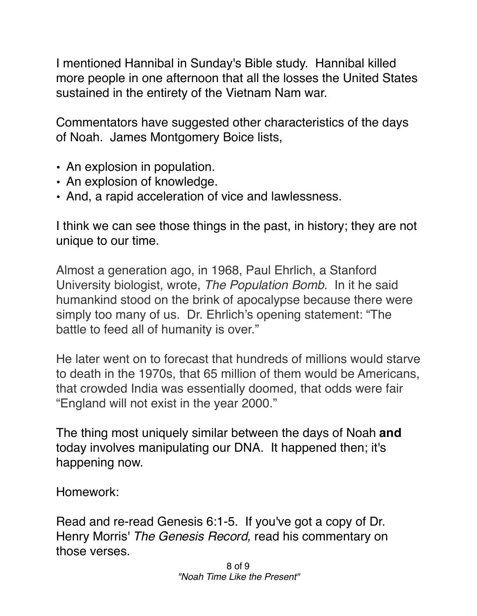I mentioned Hannibal in Sunday's Bible study. Hannibal killed more people in one afternoon that all the losses the United States sustained in the entirety of the Vietnam Nam war.

Commentators have suggested other characteristics of the days of Noah. James Montgomery Boice lists,

- An explosion in population.
- An explosion of knowledge.
- And, a rapid acceleration of vice and lawlessness.

I think we can see those things in the past, in history; they are not unique to our time.

Almost a generation ago, in 1968, Paul Ehrlich, a Stanford University biologist, wrote, *The Population Bomb.* In it he said humankind stood on the brink of apocalypse because there were simply too many of us. Dr. Ehrlich's opening statement: "The battle to feed all of humanity is over."

He later went on to forecast that hundreds of millions would starve to death in the 1970s, that 65 million of them would be Americans, that crowded India was essentially doomed, that odds were fair "England will not exist in the year 2000."

The thing most uniquely similar between the days of Noah **and** today involves manipulating our DNA. It happened then; it's happening now.

Homework:

Read and re-read Genesis 6:1-5. If you've got a copy of Dr. Henry Morris' *The Genesis Record,* read his commentary on those verses.